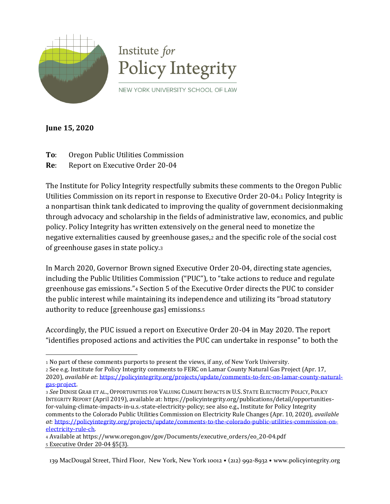

**June 15, 2020**

- **To**: Oregon Public Utilities Commission
- **Re**: Report on Executive Order 20-04

The Institute for Policy Integrity respectfully submits these comments to the Oregon Public Utilities Commission on its report in response to Executive Order 20-04.<sup>1</sup> Policy Integrity is a nonpartisan think tank dedicated to improving the quality of government decisionmaking through advocacy and scholarship in the fields of administrative law, economics, and public policy. Policy Integrity has written extensively on the general need to monetize the negative externalities caused by greenhouse gases,<sup>2</sup> and the specific role of the social cost of greenhouse gases in state policy.<sup>3</sup>

In March 2020, Governor Brown signed Executive Order 20-04, directing state agencies, including the Public Utilities Commission ("PUC"), to "take actions to reduce and regulate greenhouse gas emissions."<sup>4</sup> Section 5 of the Executive Order directs the PUC to consider the public interest while maintaining its independence and utilizing its "broad statutory authority to reduce [greenhouse gas] emissions.<sup>5</sup>

Accordingly, the PUC issued a report on Executive Order 20-04 in May 2020. The report "identifies proposed actions and activities the PUC can undertake in response" to both the

<sup>4</sup> Available at https://www.oregon.gov/gov/Documents/executive\_orders/eo\_20-04.pdf <sup>5</sup> Executive Order 20-04 §5(3).

139 MacDougal Street, Third Floor, New York, New York 10012 • (212) 992-8932 • www.policyintegrity.org

<sup>1</sup> No part of these comments purports to present the views, if any, of New York University.

<sup>2</sup> See e.g. Institute for Policy Integrity comments to FERC on Lamar County Natural Gas Project (Apr. 17, 2020), *available at*: [https://policyintegrity.org/projects/update/comments-to-ferc-on-lamar-county-natural](https://policyintegrity.org/projects/update/comments-to-ferc-on-lamar-county-natural-gas-project)[gas-project.](https://policyintegrity.org/projects/update/comments-to-ferc-on-lamar-county-natural-gas-project)

<sup>3</sup> *See* DENISE GRAB ET AL., OPPORTUNITIES FOR VALUING CLIMATE IMPACTS IN U.S. STATE ELECTRICITY POLICY, POLICY INTEGRITY REPORT (April 2019), available at: https://policyintegrity.org/publications/detail/opportunitiesfor-valuing-climate-impacts-in-u.s.-state-electricity-policy; see also e.g., Institute for Policy Integrity comments to the Colorado Public Utilities Commission on Electricity Rule Changes (Apr. 10, 2020), *available at*: [https://policyintegrity.org/projects/update/comments-to-the-colorado-public-utilities-commission-on](https://policyintegrity.org/projects/update/comments-to-the-colorado-public-utilities-commission-on-electricity-rule-ch)[electricity-rule-ch.](https://policyintegrity.org/projects/update/comments-to-the-colorado-public-utilities-commission-on-electricity-rule-ch)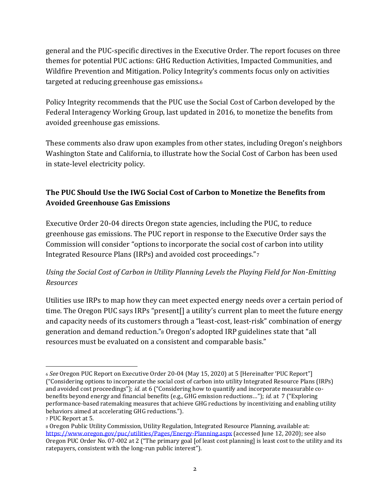general and the PUC-specific directives in the Executive Order. The report focuses on three themes for potential PUC actions: GHG Reduction Activities, Impacted Communities, and Wildfire Prevention and Mitigation. Policy Integrity's comments focus only on activities targeted at reducing greenhouse gas emissions.<sup>6</sup>

Policy Integrity recommends that the PUC use the Social Cost of Carbon developed by the Federal Interagency Working Group, last updated in 2016, to monetize the benefits from avoided greenhouse gas emissions.

These comments also draw upon examples from other states, including Oregon's neighbors Washington State and California, to illustrate how the Social Cost of Carbon has been used in state-level electricity policy.

## **The PUC Should Use the IWG Social Cost of Carbon to Monetize the Benefits from Avoided Greenhouse Gas Emissions**

Executive Order 20-04 directs Oregon state agencies, including the PUC, to reduce greenhouse gas emissions. The PUC report in response to the Executive Order says the Commission will consider "options to incorporate the social cost of carbon into utility Integrated Resource Plans (IRPs) and avoided cost proceedings."<sup>7</sup>

## *Using the Social Cost of Carbon in Utility Planning Levels the Playing Field for Non-Emitting Resources*

Utilities use IRPs to map how they can meet expected energy needs over a certain period of time. The Oregon PUC says IRPs "present[] a utility's current plan to meet the future energy and capacity needs of its customers through a "least-cost, least-risk" combination of energy generation and demand reduction."<sup>8</sup> Oregon's adopted IRP guidelines state that "all resources must be evaluated on a consistent and comparable basis."

<sup>6</sup> *See* Oregon PUC Report on Executive Order 20-04 (May 15, 2020) at 5 [Hereinafter 'PUC Report"] ("Considering options to incorporate the social cost of carbon into utility Integrated Resource Plans (IRPs) and avoided cost proceedings"); *id.* at 6 ("Considering how to quantify and incorporate measurable cobenefits beyond energy and financial benefits (e.g., GHG emission reductions…"); *id.* at 7 ("Exploring performance-based ratemaking measures that achieve GHG reductions by incentivizing and enabling utility behaviors aimed at accelerating GHG reductions.").

<sup>7</sup> PUC Report at 5.

<sup>8</sup> Oregon Public Utility Commission, Utility Regulation, Integrated Resource Planning, available at: <https://www.oregon.gov/puc/utilities/Pages/Energy-Planning.aspx> (accessed June 12, 2020); see also Oregon PUC Order No. 07-002 at 2 ("The primary goal [of least cost planning] is least cost to the utility and its ratepayers, consistent with the long-run public interest").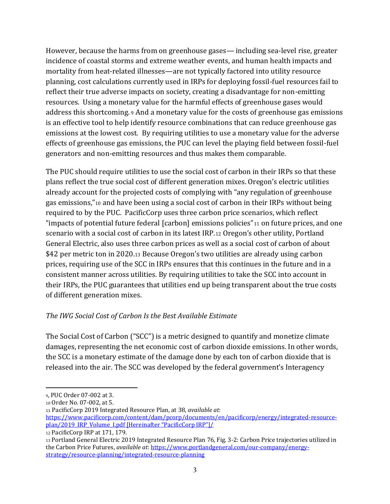However, because the harms from on greenhouse gases— including sea-level rise, greater incidence of coastal storms and extreme weather events, and human health impacts and mortality from heat-related illnesses—are not typically factored into utility resource planning, cost calculations currently used in IRPs for deploying fossil-fuel resources fail to reflect their true adverse impacts on society, creating a disadvantage for non-emitting resources. Using a monetary value for the harmful effects of greenhouse gases would address this shortcoming. <sup>9</sup> And a monetary value for the costs of greenhouse gas emissions is an effective tool to help identify resource combinations that can reduce greenhouse gas emissions at the lowest cost. By requiring utilities to use a monetary value for the adverse effects of greenhouse gas emissions, the PUC can level the playing field between fossil-fuel generators and non-emitting resources and thus makes them comparable.

The PUC should require utilities to use the social cost of carbon in their IRPs so that these plans reflect the true social cost of different generation mixes. Oregon's electric utilities already account for the projected costs of complying with "any regulation of greenhouse gas emissions,"<sup>10</sup> and have been using a social cost of carbon in their IRPs without being required to by the PUC. PacificCorp uses three carbon price scenarios, which reflect "impacts of potential future federal [carbon] emissions policies"<sup>11</sup> on future prices, and one scenario with a social cost of carbon in its latest IRP.<sup>12</sup> Oregon's other utility, Portland General Electric, also uses three carbon prices as well as a social cost of carbon of about \$42 per metric ton in 2020.<sup>13</sup> Because Oregon's two utilities are already using carbon prices, requiring use of the SCC in IRPs ensures that this continues in the future and in a consistent manner across utilities. By requiring utilities to take the SCC into account in their IRPs, the PUC guarantees that utilities end up being transparent about the true costs of different generation mixes.

## *The IWG Social Cost of Carbon Is the Best Available Estimate*

The Social Cost of Carbon ("SCC") is a metric designed to quantify and monetize climate damages, representing the net economic cost of carbon dioxide emissions. In other words, the SCC is a monetary estimate of the damage done by each ton of carbon dioxide that is released into the air. The SCC was developed by the federal government's Interagency

<sup>9</sup>, PUC Order 07-002 at 3.

<sup>10</sup> Order No. 07-002, at 5.

<sup>11</sup> PacificCorp 2019 Integrated Resource Plan, at 38, *available at*:

[https://www.pacificorp.com/content/dam/pcorp/documents/en/pacificorp/energy/integrated-resource](https://www.pacificorp.com/content/dam/pcorp/documents/en/pacificorp/energy/integrated-resource-plan/2019_IRP_Volume_I.pdf)[plan/2019\\_IRP\\_Volume\\_I.pdf](https://www.pacificorp.com/content/dam/pcorp/documents/en/pacificorp/energy/integrated-resource-plan/2019_IRP_Volume_I.pdf) [Hereinafter "PacificCorp IRP"]/

<sup>12</sup> PacificCorp IRP at 171, 179.

<sup>13</sup> Portland General Electric 2019 Integrated Resource Plan 76, Fig. 3-2: Carbon Price trajectories utilized in the Carbon Price Futures, *available at*[: https://www.portlandgeneral.com/our-company/energy](https://www.portlandgeneral.com/our-company/energy-strategy/resource-planning/integrated-resource-planning)[strategy/resource-planning/integrated-resource-planning](https://www.portlandgeneral.com/our-company/energy-strategy/resource-planning/integrated-resource-planning)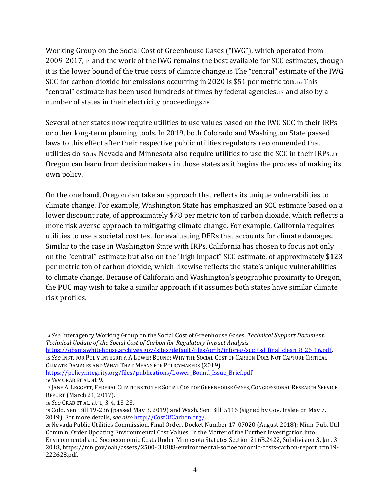Working Group on the Social Cost of Greenhouse Gases ("IWG"), which operated from 2009-2017, <sup>14</sup> and the work of the IWG remains the best available for SCC estimates, though it is the lower bound of the true costs of climate change.<sup>15</sup> The "central" estimate of the IWG SCC for carbon dioxide for emissions occurring in 2020 is \$51 per metric ton.<sup>16</sup> This "central" estimate has been used hundreds of times by federal agencies,<sup>17</sup> and also by a number of states in their electricity proceedings.<sup>18</sup>

Several other states now require utilities to use values based on the IWG SCC in their IRPs or other long-term planning tools. In 2019, both Colorado and Washington State passed laws to this effect after their respective public utilities regulators recommended that utilities do so.<sup>19</sup> Nevada and Minnesota also require utilities to use the SCC in their IRPs.<sup>20</sup> Oregon can learn from decisionmakers in those states as it begins the process of making its own policy.

On the one hand, Oregon can take an approach that reflects its unique vulnerabilities to climate change. For example, Washington State has emphasized an SCC estimate based on a lower discount rate, of approximately \$78 per metric ton of carbon dioxide, which reflects a more risk averse approach to mitigating climate change. For example, California requires utilities to use a societal cost test for evaluating DERs that accounts for climate damages. Similar to the case in Washington State with IRPs, California has chosen to focus not only on the "central" estimate but also on the "high impact" SCC estimate, of approximately \$123 per metric ton of carbon dioxide, which likewise reflects the state's unique vulnerabilities to climate change. Because of California and Washington's geographic proximity to Oregon, the PUC may wish to take a similar approach if it assumes both states have similar climate risk profiles.

<sup>14</sup> *See* Interagency Working Group on the Social Cost of Greenhouse Gases, *Technical Support Document: Technical Update of the Social Cost of Carbon for Regulatory Impact Analysis*

[https://obamawhitehouse.archives.gov/sites/default/files/omb/inforeg/scc\\_tsd\\_final\\_clean\\_8\\_26\\_16.pdf.](https://obamawhitehouse.archives.gov/sites/default/files/omb/inforeg/scc_tsd_final_clean_8_26_16.pdf) <sup>15</sup> *See* INST. FOR POL'Y INTEGRITY, A LOWER BOUND: WHY THE SOCIAL COST OF CARBON DOES NOT CAPTURE CRITICAL CLIMATE DAMAGES AND WHAT THAT MEANS FOR POLICYMAKERS (2019),

https://policyintegrity.org/files/publications/Lower\_Bound\_Issue\_Brief.pdf.

<sup>16</sup> *See* GRAB ET AL. at 9.

<sup>17</sup> JANE A. LEGGETT, FEDERAL CITATIONS TO THE SOCIAL COST OF GREENHOUSE GASES, CONGRESSIONAL RESEARCH SERVICE REPORT (March 21, 2017).

<sup>18</sup> *See* GRAB ET AL. at 1, 3-4, 13-23.

<sup>19</sup> Colo. Sen. Bill 19-236 (passed May 3, 2019) and Wash. Sen. Bill. 5116 (signed by Gov. Inslee on May 7, 2019). For more details*, see also* [http://CostOfCarbon.org/.](http://costofcarbon.org/)

<sup>20</sup> Nevada Public Utilities Commission, Final Order, Docket Number 17-07020 (August 2018); Minn. Pub. Util. Comm'n, Order Updating Environmental Cost Values, In the Matter of the Further Investigation into Environmental and Socioeconomic Costs Under Minnesota Statutes Section 216B.2422, Subdivision 3, Jan. 3 2018, https://mn.gov/oah/assets/2500- 31888-environmental-socioeconomic-costs-carbon-report\_tcm19- 222628.pdf.